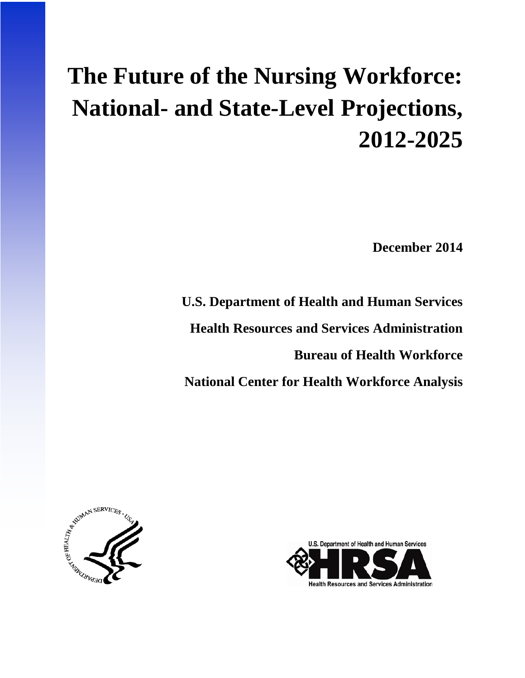# **The Future of the Nursing Workforce: National- and State-Level Projections, 2012-2025**

**December 2014**

**U.S. Department of Health and Human Services Health Resources and Services Administration Bureau of Health Workforce National Center for Health Workforce Analysis**



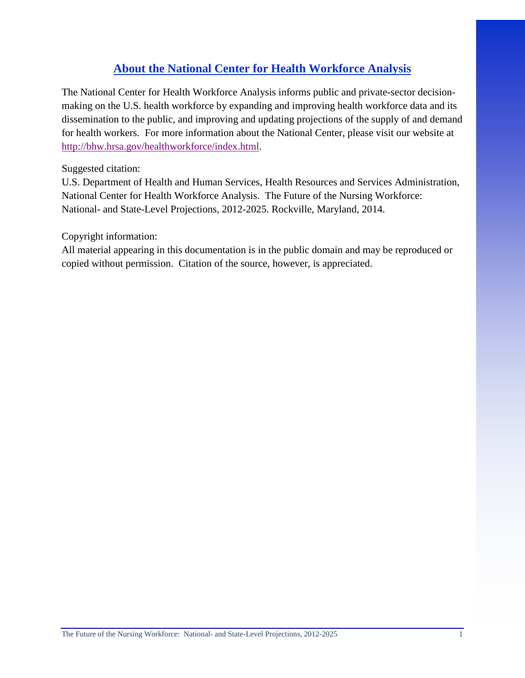### **About the National Center for Health Workforce Analysis**

The National Center for Health Workforce Analysis informs public and private-sector decisionmaking on the U.S. health workforce by expanding and improving health workforce data and its dissemination to the public, and improving and updating projections of the supply of and demand for health workers. For more information about the National Center, please visit our website at [http://bhw.hrsa.gov/healthworkforce/index.html.](http://bhw.hrsa.gov/healthworkforce/index.html)

### Suggested citation:

U.S. Department of Health and Human Services, Health Resources and Services Administration, National Center for Health Workforce Analysis. The Future of the Nursing Workforce: National- and State-Level Projections, 2012-2025. Rockville, Maryland, 2014.

Copyright information:

All material appearing in this documentation is in the public domain and may be reproduced or copied without permission. Citation of the source, however, is appreciated.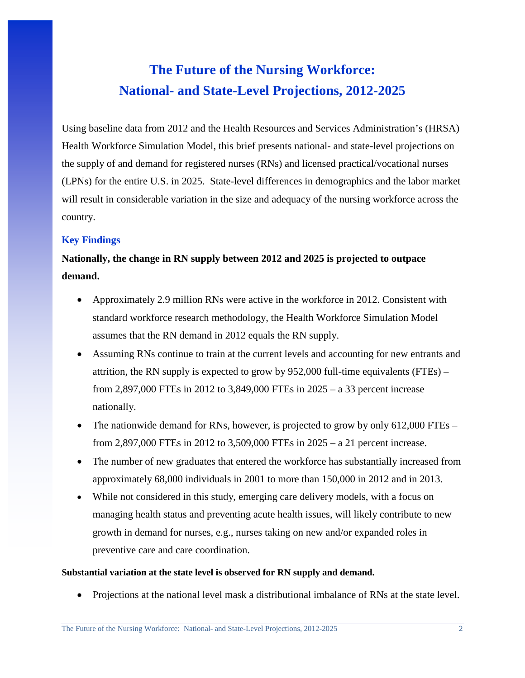## **The Future of the Nursing Workforce: National- and State-Level Projections, 2012-2025**

Using baseline data from 2012 and the Health Resources and Services Administration's (HRSA) Health Workforce Simulation Model, this brief presents national- and state-level projections on the supply of and demand for registered nurses (RNs) and licensed practical/vocational nurses (LPNs) for the entire U.S. in 2025. State-level differences in demographics and the labor market will result in considerable variation in the size and adequacy of the nursing workforce across the country.

### **Key Findings**

### **Nationally, the change in RN supply between 2012 and 2025 is projected to outpace demand.**

- Approximately 2.9 million RNs were active in the workforce in 2012. Consistent with standard workforce research methodology, the Health Workforce Simulation Model assumes that the RN demand in 2012 equals the RN supply.
- Assuming RNs continue to train at the current levels and accounting for new entrants and attrition, the RN supply is expected to grow by 952,000 full-time equivalents (FTEs) – from 2,897,000 FTEs in 2012 to 3,849,000 FTEs in 2025 – a 33 percent increase nationally.
- The nationwide demand for RNs, however, is projected to grow by only  $612,000$  FTEs from 2,897,000 FTEs in 2012 to 3,509,000 FTEs in 2025 – a 21 percent increase.
- The number of new graduates that entered the workforce has substantially increased from approximately 68,000 individuals in 2001 to more than 150,000 in 2012 and in 2013.
- While not considered in this study, emerging care delivery models, with a focus on managing health status and preventing acute health issues, will likely contribute to new growth in demand for nurses, e.g., nurses taking on new and/or expanded roles in preventive care and care coordination.

### **Substantial variation at the state level is observed for RN supply and demand.**

• Projections at the national level mask a distributional imbalance of RNs at the state level.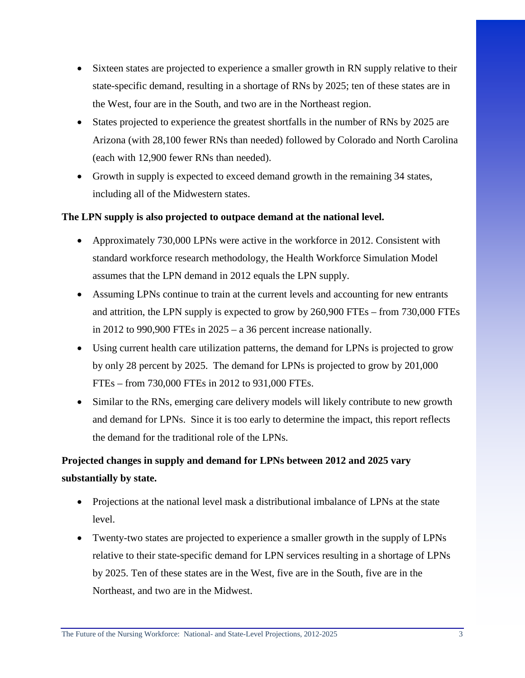- Sixteen states are projected to experience a smaller growth in RN supply relative to their state-specific demand, resulting in a shortage of RNs by 2025; ten of these states are in the West, four are in the South, and two are in the Northeast region.
- States projected to experience the greatest shortfalls in the number of RNs by 2025 are Arizona (with 28,100 fewer RNs than needed) followed by Colorado and North Carolina (each with 12,900 fewer RNs than needed).
- Growth in supply is expected to exceed demand growth in the remaining 34 states, including all of the Midwestern states.

### **The LPN supply is also projected to outpace demand at the national level.**

- Approximately 730,000 LPNs were active in the workforce in 2012. Consistent with standard workforce research methodology, the Health Workforce Simulation Model assumes that the LPN demand in 2012 equals the LPN supply.
- Assuming LPNs continue to train at the current levels and accounting for new entrants and attrition, the LPN supply is expected to grow by 260,900 FTEs – from 730,000 FTEs in 2012 to 990,900 FTEs in 2025 – a 36 percent increase nationally.
- Using current health care utilization patterns, the demand for LPNs is projected to grow by only 28 percent by 2025. The demand for LPNs is projected to grow by 201,000 FTEs – from 730,000 FTEs in 2012 to 931,000 FTEs.
- Similar to the RNs, emerging care delivery models will likely contribute to new growth and demand for LPNs. Since it is too early to determine the impact, this report reflects the demand for the traditional role of the LPNs.

### **Projected changes in supply and demand for LPNs between 2012 and 2025 vary substantially by state.**

- Projections at the national level mask a distributional imbalance of LPNs at the state level.
- Twenty-two states are projected to experience a smaller growth in the supply of LPNs relative to their state-specific demand for LPN services resulting in a shortage of LPNs by 2025. Ten of these states are in the West, five are in the South, five are in the Northeast, and two are in the Midwest.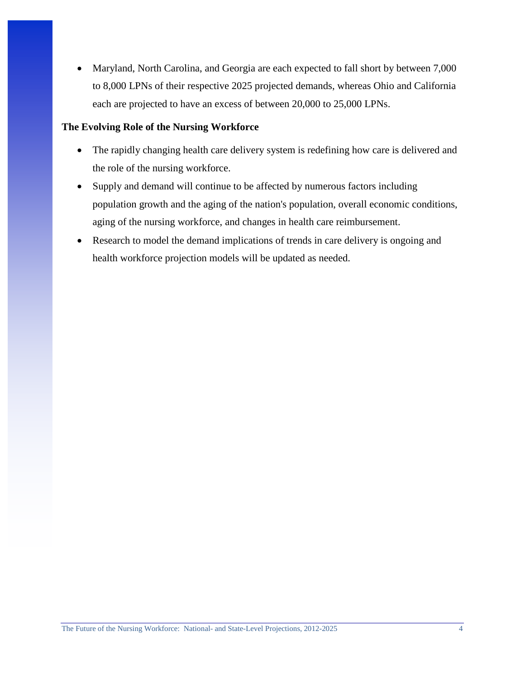• Maryland, North Carolina, and Georgia are each expected to fall short by between 7,000 to 8,000 LPNs of their respective 2025 projected demands, whereas Ohio and California each are projected to have an excess of between 20,000 to 25,000 LPNs.

### **The Evolving Role of the Nursing Workforce**

- The rapidly changing health care delivery system is redefining how care is delivered and the role of the nursing workforce.
- Supply and demand will continue to be affected by numerous factors including population growth and the aging of the nation's population, overall economic conditions, aging of the nursing workforce, and changes in health care reimbursement.
- Research to model the demand implications of trends in care delivery is ongoing and health workforce projection models will be updated as needed.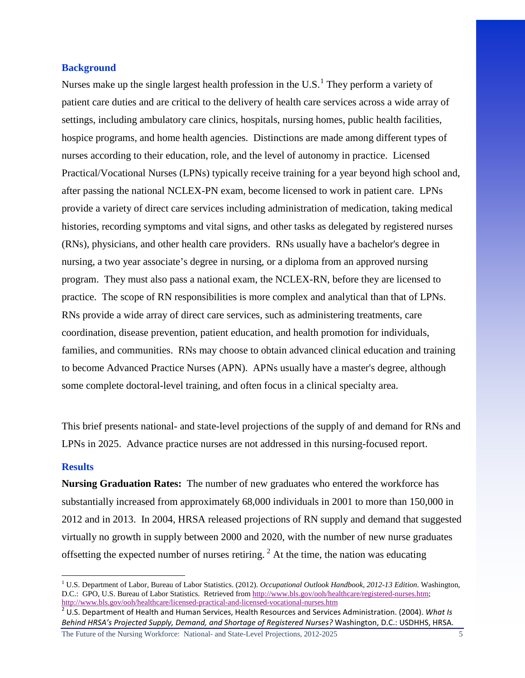#### **Background**

Nurses make up the single largest health profession in the U.S.<sup>[1](#page-5-0)</sup> They perform a variety of patient care duties and are critical to the delivery of health care services across a wide array of settings, including ambulatory care clinics, hospitals, nursing homes, public health facilities, hospice programs, and home health agencies. Distinctions are made among different types of nurses according to their education, role, and the level of autonomy in practice. Licensed Practical/Vocational Nurses (LPNs) typically receive training for a year beyond high school and, after passing the national NCLEX-PN exam, become licensed to work in patient care. LPNs provide a variety of direct care services including administration of medication, taking medical histories, recording symptoms and vital signs, and other tasks as delegated by registered nurses (RNs), physicians, and other health care providers. RNs usually have a bachelor's degree in nursing, a two year associate's degree in nursing, or a diploma from an approved nursing program. They must also pass a national exam, the NCLEX-RN, before they are licensed to practice. The scope of RN responsibilities is more complex and analytical than that of LPNs. RNs provide a wide array of direct care services, such as administering treatments, care coordination, disease prevention, patient education, and health promotion for individuals, families, and communities. RNs may choose to obtain advanced clinical education and training to become Advanced Practice Nurses (APN). APNs usually have a master's degree, although some complete doctoral-level training, and often focus in a clinical specialty area.

This brief presents national- and state-level projections of the supply of and demand for RNs and LPNs in 2025. Advance practice nurses are not addressed in this nursing-focused report.

#### **Results**

 $\overline{\phantom{a}}$ 

**Nursing Graduation Rates:** The number of new graduates who entered the workforce has substantially increased from approximately 68,000 individuals in 2001 to more than 150,000 in 2012 and in 2013.In 2004, HRSA released projections of RN supply and demand that suggested virtually no growth in supply between 2000 and 2020, with the number of new nurse graduates offsetting the expected number of nurses retiring.<sup>[2](#page-5-1)</sup> At the time, the nation was educating

<span id="page-5-0"></span><sup>1</sup> U.S. Department of Labor, Bureau of Labor Statistics. (2012). *Occupational Outlook Handbook, 2012-13 Edition*. Washington, D.C.: GPO, U.S. Bureau of Labor Statistics. Retrieved fro[m http://www.bls.gov/ooh/healthcare/registered-nurses.htm;](http://www.bls.gov/ooh/healthcare/registered-nurses.htm)<br>http://www.bls.gov/ooh/healthcare/licensed-practical-and-licensed-vocational-nurses.htm

<span id="page-5-1"></span><sup>&</sup>lt;sup>2</sup> U.S. Department of Health and Human Services, Health Resources and Services Administration. (2004). *What Is Behind HRSA's Projected Supply, Demand, and Shortage of Registered Nurses?* Washington, D.C.: USDHHS, HRSA.

The Future of the Nursing Workforce: National- and State-Level Projections, 2012-2025 5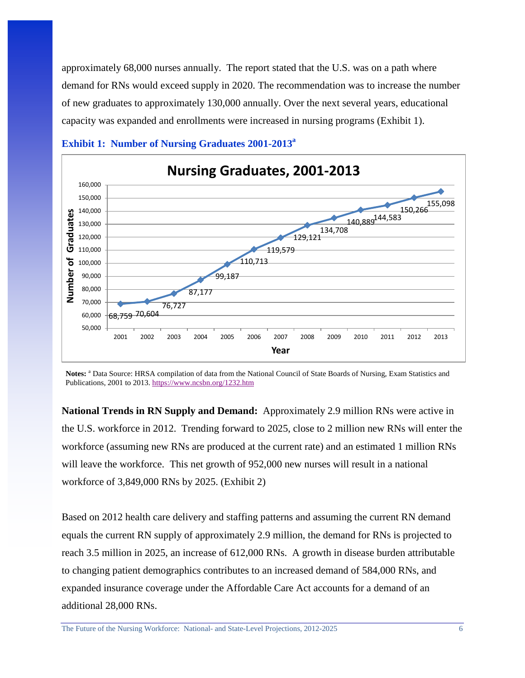approximately 68,000 nurses annually. The report stated that the U.S. was on a path where demand for RNs would exceed supply in 2020. The recommendation was to increase the number of new graduates to approximately 130,000 annually. Over the next several years, educational capacity was expanded and enrollments were increased in nursing programs (Exhibit 1).



**Exhibit 1: Number of Nursing Graduates 2001-2013a**

Notes: <sup>a</sup> Data Source: HRSA compilation of data from the National Council of State Boards of Nursing, Exam Statistics and Publications, 2001 to 2013[. https://www.ncsbn.org/1232.htm](https://www.ncsbn.org/1232.htm)

**National Trends in RN Supply and Demand:** Approximately 2.9 million RNs were active in the U.S. workforce in 2012. Trending forward to 2025, close to 2 million new RNs will enter the workforce (assuming new RNs are produced at the current rate) and an estimated 1 million RNs will leave the workforce. This net growth of 952,000 new nurses will result in a national workforce of 3,849,000 RNs by 2025. (Exhibit 2)

Based on 2012 health care delivery and staffing patterns and assuming the current RN demand equals the current RN supply of approximately 2.9 million, the demand for RNs is projected to reach 3.5 million in 2025, an increase of 612,000 RNs. A growth in disease burden attributable to changing patient demographics contributes to an increased demand of 584,000 RNs, and expanded insurance coverage under the Affordable Care Act accounts for a demand of an additional 28,000 RNs.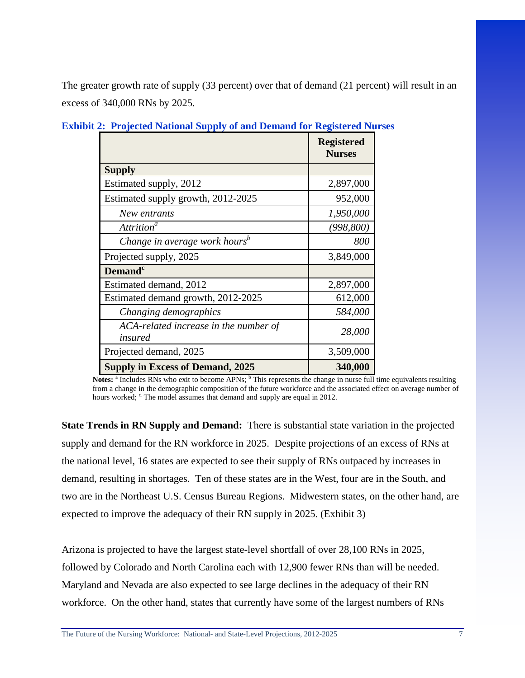The greater growth rate of supply (33 percent) over that of demand (21 percent) will result in an excess of 340,000 RNs by 2025.

|                                                  | <b>Registered</b><br><b>Nurses</b> |
|--------------------------------------------------|------------------------------------|
| <b>Supply</b>                                    |                                    |
| Estimated supply, 2012                           | 2,897,000                          |
| Estimated supply growth, 2012-2025               | 952,000                            |
| New entrants                                     | 1,950,000                          |
| Attrition <sup>a</sup>                           | (998,800)                          |
| Change in average work hours <sup>b</sup>        | 800                                |
| Projected supply, 2025                           | 3,849,000                          |
| <b>Demand<sup>c</sup></b>                        |                                    |
| Estimated demand, 2012                           | 2,897,000                          |
| Estimated demand growth, 2012-2025               | 612,000                            |
| Changing demographics                            | 584,000                            |
| ACA-related increase in the number of<br>insured | 28,000                             |
| Projected demand, 2025                           | 3,509,000                          |
| <b>Supply in Excess of Demand, 2025</b>          | 340,000                            |

**Exhibit 2: Projected National Supply of and Demand for Registered Nurses** 

Notes: <sup>a</sup> Includes RNs who exit to become APNs; <sup>b</sup> This represents the change in nurse full time equivalents resulting from a change in the demographic composition of the future workforce and the associated effect on average number of hours worked;  $\degree$ . The model assumes that demand and supply are equal in 2012.

**State Trends in RN Supply and Demand:** There is substantial state variation in the projected supply and demand for the RN workforce in 2025. Despite projections of an excess of RNs at the national level, 16 states are expected to see their supply of RNs outpaced by increases in demand, resulting in shortages. Ten of these states are in the West, four are in the South, and two are in the Northeast U.S. Census Bureau Regions. Midwestern states, on the other hand, are expected to improve the adequacy of their RN supply in 2025. (Exhibit 3)

Arizona is projected to have the largest state-level shortfall of over 28,100 RNs in 2025, followed by Colorado and North Carolina each with 12,900 fewer RNs than will be needed. Maryland and Nevada are also expected to see large declines in the adequacy of their RN workforce. On the other hand, states that currently have some of the largest numbers of RNs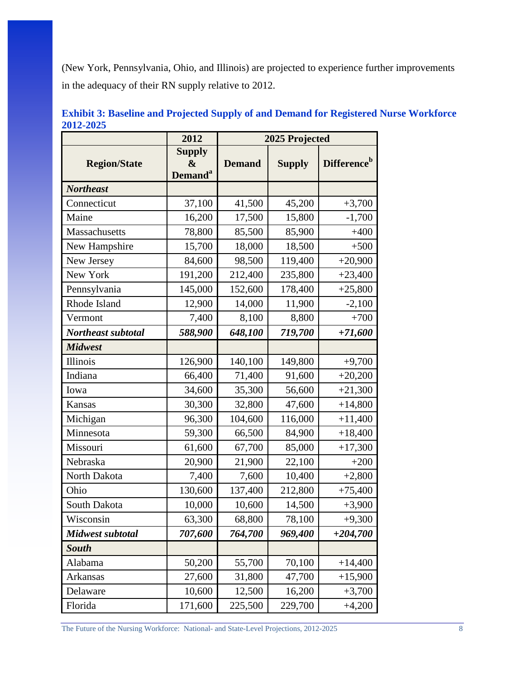(New York, Pennsylvania, Ohio, and Illinois) are projected to experience further improvements in the adequacy of their RN supply relative to 2012.

|                         | 2012                                             | 2025 Projected |               |                                |
|-------------------------|--------------------------------------------------|----------------|---------------|--------------------------------|
| <b>Region/State</b>     | <b>Supply</b><br>&<br><b>Demand</b> <sup>a</sup> | <b>Demand</b>  | <b>Supply</b> | <b>Difference</b> <sup>b</sup> |
| <b>Northeast</b>        |                                                  |                |               |                                |
| Connecticut             | 37,100                                           | 41,500         | 45,200        | $+3,700$                       |
| Maine                   | 16,200                                           | 17,500         | 15,800        | $-1,700$                       |
| Massachusetts           | 78,800                                           | 85,500         | 85,900        | $+400$                         |
| New Hampshire           | 15,700                                           | 18,000         | 18,500        | $+500$                         |
| New Jersey              | 84,600                                           | 98,500         | 119,400       | $+20,900$                      |
| New York                | 191,200                                          | 212,400        | 235,800       | $+23,400$                      |
| Pennsylvania            | 145,000                                          | 152,600        | 178,400       | $+25,800$                      |
| Rhode Island            | 12,900                                           | 14,000         | 11,900        | $-2,100$                       |
| Vermont                 | 7,400                                            | 8,100          | 8,800         | $+700$                         |
| Northeast subtotal      | 588,900                                          | 648,100        | 719,700       | $+71,600$                      |
| <b>Midwest</b>          |                                                  |                |               |                                |
| Illinois                | 126,900                                          | 140,100        | 149,800       | $+9,700$                       |
| Indiana                 | 66,400                                           | 71,400         | 91,600        | $+20,200$                      |
| Iowa                    | 34,600                                           | 35,300         | 56,600        | $+21,300$                      |
| Kansas                  | 30,300                                           | 32,800         | 47,600        | $+14,800$                      |
| Michigan                | 96,300                                           | 104,600        | 116,000       | $+11,400$                      |
| Minnesota               | 59,300                                           | 66,500         | 84,900        | $+18,400$                      |
| Missouri                | 61,600                                           | 67,700         | 85,000        | $+17,300$                      |
| Nebraska                | 20,900                                           | 21,900         | 22,100        | $+200$                         |
| North Dakota            | 7,400                                            | 7,600          | 10,400        | $+2,800$                       |
| Ohio                    | 130,600                                          | 137,400        | 212,800       | $+75,400$                      |
| South Dakota            | 10,000                                           | 10,600         | 14,500        | $+3,900$                       |
| Wisconsin               | 63,300                                           | 68,800         | 78,100        | $+9,300$                       |
| <b>Midwest subtotal</b> | 707,600                                          | 764,700        | 969,400       | $+204,700$                     |
| <b>South</b>            |                                                  |                |               |                                |
| Alabama                 | 50,200                                           | 55,700         | 70,100        | $+14,400$                      |
| Arkansas                | 27,600                                           | 31,800         | 47,700        | $+15,900$                      |
| Delaware                | 10,600                                           | 12,500         | 16,200        | $+3,700$                       |
| Florida                 | 171,600                                          | 225,500        | 229,700       | $+4,200$                       |

**Exhibit 3: Baseline and Projected Supply of and Demand for Registered Nurse Workforce 2012-2025**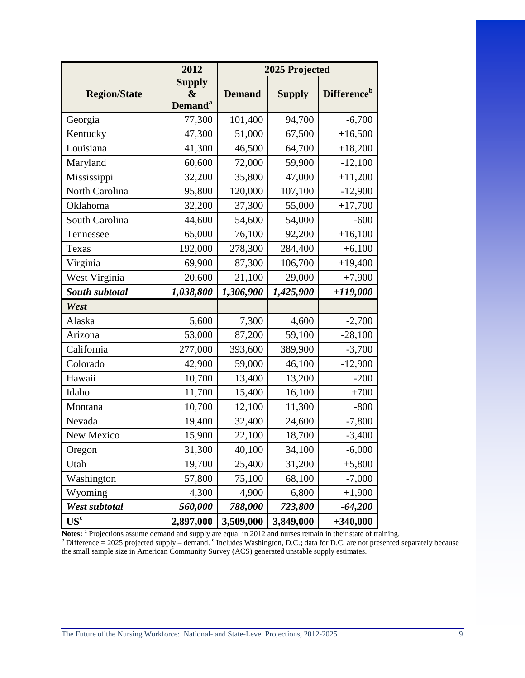|                     | 2012                                             | 2025 Projected |               |                                |
|---------------------|--------------------------------------------------|----------------|---------------|--------------------------------|
| <b>Region/State</b> | <b>Supply</b><br>&<br><b>Demand</b> <sup>a</sup> | <b>Demand</b>  | <b>Supply</b> | <b>Difference</b> <sup>b</sup> |
| Georgia             | 77,300                                           | 101,400        | 94,700        | $-6,700$                       |
| Kentucky            | 47,300                                           | 51,000         | 67,500        | $+16,500$                      |
| Louisiana           | 41,300                                           | 46,500         | 64,700        | $+18,200$                      |
| Maryland            | 60,600                                           | 72,000         | 59,900        | $-12,100$                      |
| Mississippi         | 32,200                                           | 35,800         | 47,000        | $+11,200$                      |
| North Carolina      | 95,800                                           | 120,000        | 107,100       | $-12,900$                      |
| Oklahoma            | 32,200                                           | 37,300         | 55,000        | $+17,700$                      |
| South Carolina      | 44,600                                           | 54,600         | 54,000        | $-600$                         |
| Tennessee           | 65,000                                           | 76,100         | 92,200        | $+16,100$                      |
| Texas               | 192,000                                          | 278,300        | 284,400       | $+6,100$                       |
| Virginia            | 69,900                                           | 87,300         | 106,700       | $+19,400$                      |
| West Virginia       | 20,600                                           | 21,100         | 29,000        | $+7,900$                       |
| South subtotal      | 1,038,800                                        | 1,306,900      | 1,425,900     | $+119,000$                     |
| West                |                                                  |                |               |                                |
| Alaska              | 5,600                                            | 7,300          | 4,600         | $-2,700$                       |
| Arizona             | 53,000                                           | 87,200         | 59,100        | $-28,100$                      |
| California          | 277,000                                          | 393,600        | 389,900       | $-3,700$                       |
| Colorado            | 42,900                                           | 59,000         | 46,100        | $-12,900$                      |
| Hawaii              | 10,700                                           | 13,400         | 13,200        | $-200$                         |
| Idaho               | 11,700                                           | 15,400         | 16,100        | $+700$                         |
| Montana             | 10,700                                           | 12,100         | 11,300        | $-800$                         |
| Nevada              | 19,400                                           | 32,400         | 24,600        | $-7,800$                       |
| New Mexico          | 15,900                                           | 22,100         | 18,700        | $-3,400$                       |
| Oregon              | 31,300                                           | 40,100         | 34,100        | $-6,000$                       |
| Utah                | 19,700                                           | 25,400         | 31,200        | $+5,800$                       |
| Washington          | 57,800                                           | 75,100         | 68,100        | $-7,000$                       |
| Wyoming             | 4,300                                            | 4,900          | 6,800         | $+1,900$                       |
| West subtotal       | 560,000                                          | 788,000        | 723,800       | $-64,200$                      |
| $\mathbf{US^c}$     | 2,897,000                                        | 3,509,000      | 3,849,000     | $+340,000$                     |

Notes: <sup>a</sup> Projections assume demand and supply are equal in 2012 and nurses remain in their state of training.<br><sup>b</sup> Difference = 2025 projected supply – demand. <sup>c</sup> Includes Washington, D.C.; data for D.C. are not presente the small sample size in American Community Survey (ACS) generated unstable supply estimates.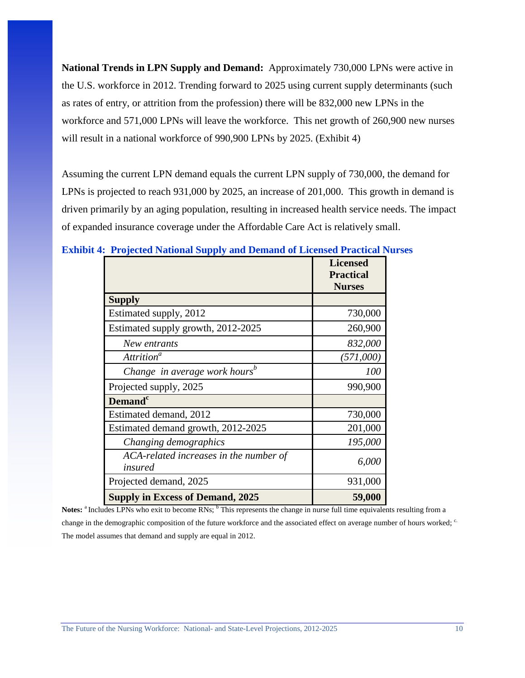**National Trends in LPN Supply and Demand:** Approximately 730,000 LPNs were active in the U.S. workforce in 2012. Trending forward to 2025 using current supply determinants (such as rates of entry, or attrition from the profession) there will be 832,000 new LPNs in the workforce and 571,000 LPNs will leave the workforce. This net growth of 260,900 new nurses will result in a national workforce of 990,900 LPNs by 2025. (Exhibit 4)

Assuming the current LPN demand equals the current LPN supply of 730,000, the demand for LPNs is projected to reach 931,000 by 2025, an increase of 201,000. This growth in demand is driven primarily by an aging population, resulting in increased health service needs. The impact of expanded insurance coverage under the Affordable Care Act is relatively small.

|                                                   | <b>Licensed</b><br><b>Practical</b> |
|---------------------------------------------------|-------------------------------------|
|                                                   | <b>Nurses</b>                       |
| <b>Supply</b>                                     |                                     |
| Estimated supply, 2012                            | 730,000                             |
| Estimated supply growth, 2012-2025                | 260,900                             |
| New entrants                                      | 832,000                             |
| Attrition <sup>a</sup>                            | (571,000)                           |
| Change in average work hours <sup>b</sup>         | 100                                 |
| Projected supply, 2025                            | 990,900                             |
| <b>Demand<sup>c</sup></b>                         |                                     |
| Estimated demand, 2012                            | 730,000                             |
| Estimated demand growth, 2012-2025                | 201,000                             |
| Changing demographics                             | 195,000                             |
| ACA-related increases in the number of<br>insured | 6,000                               |
| Projected demand, 2025                            | 931,000                             |
| <b>Supply in Excess of Demand, 2025</b>           | 59,000                              |

**Exhibit 4: Projected National Supply and Demand of Licensed Practical Nurses** 

**Notes:** <sup>a</sup> Includes LPNs who exit to become RNs; <sup>b</sup> This represents the change in nurse full time equivalents resulting from a change in the demographic composition of the future workforce and the associated effect on average number of hours worked;  $c$ . The model assumes that demand and supply are equal in 2012.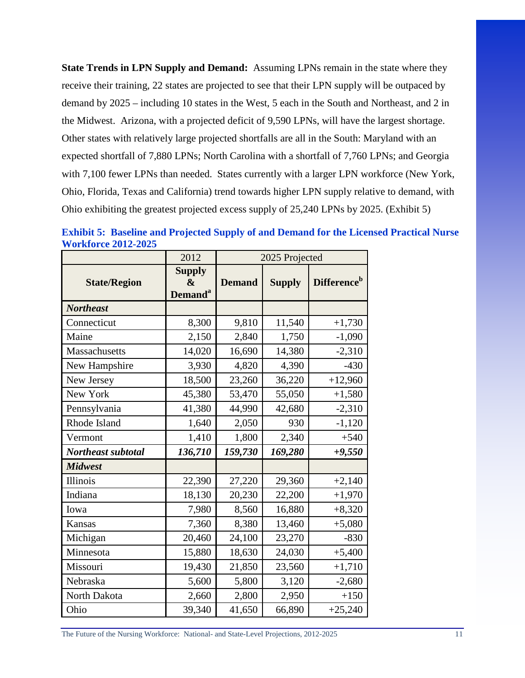**State Trends in LPN Supply and Demand:** Assuming LPNs remain in the state where they receive their training, 22 states are projected to see that their LPN supply will be outpaced by demand by 2025 – including 10 states in the West, 5 each in the South and Northeast, and 2 in the Midwest. Arizona, with a projected deficit of 9,590 LPNs, will have the largest shortage. Other states with relatively large projected shortfalls are all in the South: Maryland with an expected shortfall of 7,880 LPNs; North Carolina with a shortfall of 7,760 LPNs; and Georgia with 7,100 fewer LPNs than needed. States currently with a larger LPN workforce (New York, Ohio, Florida, Texas and California) trend towards higher LPN supply relative to demand, with Ohio exhibiting the greatest projected excess supply of 25,240 LPNs by 2025. (Exhibit 5)

|                     | 2012                                                             | 2025 Projected |               |                         |
|---------------------|------------------------------------------------------------------|----------------|---------------|-------------------------|
| <b>State/Region</b> | <b>Supply</b><br>$\boldsymbol{\&}$<br><b>Demand</b> <sup>a</sup> | <b>Demand</b>  | <b>Supply</b> | Difference <sup>b</sup> |
| <b>Northeast</b>    |                                                                  |                |               |                         |
| Connecticut         | 8,300                                                            | 9,810          | 11,540        | $+1,730$                |
| Maine               | 2,150                                                            | 2,840          | 1,750         | $-1,090$                |
| Massachusetts       | 14,020                                                           | 16,690         | 14,380        | $-2,310$                |
| New Hampshire       | 3,930                                                            | 4,820          | 4,390         | $-430$                  |
| New Jersey          | 18,500                                                           | 23,260         | 36,220        | $+12,960$               |
| New York            | 45,380                                                           | 53,470         | 55,050        | $+1,580$                |
| Pennsylvania        | 41,380                                                           | 44,990         | 42,680        | $-2,310$                |
| Rhode Island        | 1,640                                                            | 2,050          | 930           | $-1,120$                |
| Vermont             | 1,410                                                            | 1,800          | 2,340         | $+540$                  |
| Northeast subtotal  | 136,710                                                          | 159,730        | 169,280       | $+9,550$                |
| <b>Midwest</b>      |                                                                  |                |               |                         |
| Illinois            | 22,390                                                           | 27,220         | 29,360        | $+2,140$                |
| Indiana             | 18,130                                                           | 20,230         | 22,200        | $+1,970$                |
| Iowa                | 7,980                                                            | 8,560          | 16,880        | $+8,320$                |
| Kansas              | 7,360                                                            | 8,380          | 13,460        | $+5,080$                |
| Michigan            | 20,460                                                           | 24,100         | 23,270        | $-830$                  |
| Minnesota           | 15,880                                                           | 18,630         | 24,030        | $+5,400$                |
| Missouri            | 19,430                                                           | 21,850         | 23,560        | $+1,710$                |
| Nebraska            | 5,600                                                            | 5,800          | 3,120         | $-2,680$                |
| North Dakota        | 2,660                                                            | 2,800          | 2,950         | $+150$                  |
| Ohio                | 39,340                                                           | 41,650         | 66,890        | $+25,240$               |

**Exhibit 5: Baseline and Projected Supply of and Demand for the Licensed Practical Nurse Workforce 2012-2025**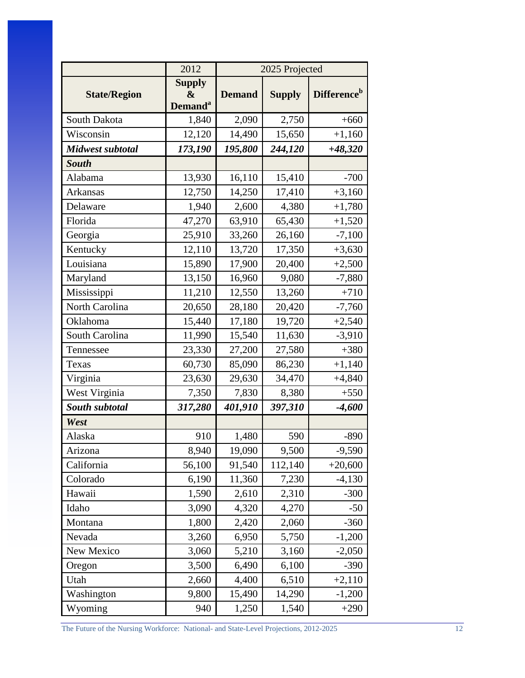|                     | 2012                                                             | 2025 Projected |               |                         |
|---------------------|------------------------------------------------------------------|----------------|---------------|-------------------------|
| <b>State/Region</b> | <b>Supply</b><br>$\boldsymbol{\&}$<br><b>Demand</b> <sup>a</sup> | <b>Demand</b>  | <b>Supply</b> | Difference <sup>b</sup> |
| South Dakota        | 1,840                                                            | 2,090          | 2,750         | $+660$                  |
| Wisconsin           | 12,120                                                           | 14,490         | 15,650        | $+1,160$                |
| Midwest subtotal    | 173,190                                                          | 195,800        | 244,120       | $+48,320$               |
| <b>South</b>        |                                                                  |                |               |                         |
| Alabama             | 13,930                                                           | 16,110         | 15,410        | $-700$                  |
| Arkansas            | 12,750                                                           | 14,250         | 17,410        | $+3,160$                |
| Delaware            | 1,940                                                            | 2,600          | 4,380         | $+1,780$                |
| Florida             | 47,270                                                           | 63,910         | 65,430        | $+1,520$                |
| Georgia             | 25,910                                                           | 33,260         | 26,160        | $-7,100$                |
| Kentucky            | 12,110                                                           | 13,720         | 17,350        | $+3,630$                |
| Louisiana           | 15,890                                                           | 17,900         | 20,400        | $+2,500$                |
| Maryland            | 13,150                                                           | 16,960         | 9,080         | $-7,880$                |
| Mississippi         | 11,210                                                           | 12,550         | 13,260        | $+710$                  |
| North Carolina      | 20,650                                                           | 28,180         | 20,420        | $-7,760$                |
| Oklahoma            | 15,440                                                           | 17,180         | 19,720        | $+2,540$                |
| South Carolina      | 11,990                                                           | 15,540         | 11,630        | $-3,910$                |
| Tennessee           | 23,330                                                           | 27,200         | 27,580        | $+380$                  |
| Texas               | 60,730                                                           | 85,090         | 86,230        | $+1,140$                |
| Virginia            | 23,630                                                           | 29,630         | 34,470        | $+4,840$                |
| West Virginia       | 7,350                                                            | 7,830          | 8,380         | $+550$                  |
| South subtotal      | 317,280                                                          | 401,910        | 397,310       | $-4,600$                |
| West                |                                                                  |                |               |                         |
| Alaska              | 910                                                              | 1,480          | 590           | $-890$                  |
| Arizona             | 8,940                                                            | 19,090         | 9,500         | $-9,590$                |
| California          | 56,100                                                           | 91,540         | 112,140       | $+20,600$               |
| Colorado            | 6,190                                                            | 11,360         | 7,230         | $-4,130$                |
| Hawaii              | 1,590                                                            | 2,610          | 2,310         | $-300$                  |
| Idaho               | 3,090                                                            | 4,320          | 4,270         | $-50$                   |
| Montana             | 1,800                                                            | 2,420          | 2,060         | $-360$                  |
| Nevada              | 3,260                                                            | 6,950          | 5,750         | $-1,200$                |
| New Mexico          | 3,060                                                            | 5,210          | 3,160         | $-2,050$                |
| Oregon              | 3,500                                                            | 6,490          | 6,100         | $-390$                  |
| Utah                | 2,660                                                            | 4,400          | 6,510         | $+2,110$                |
| Washington          | 9,800                                                            | 15,490         | 14,290        | $-1,200$                |
| Wyoming             | 940                                                              | 1,250          | 1,540         | $+290$                  |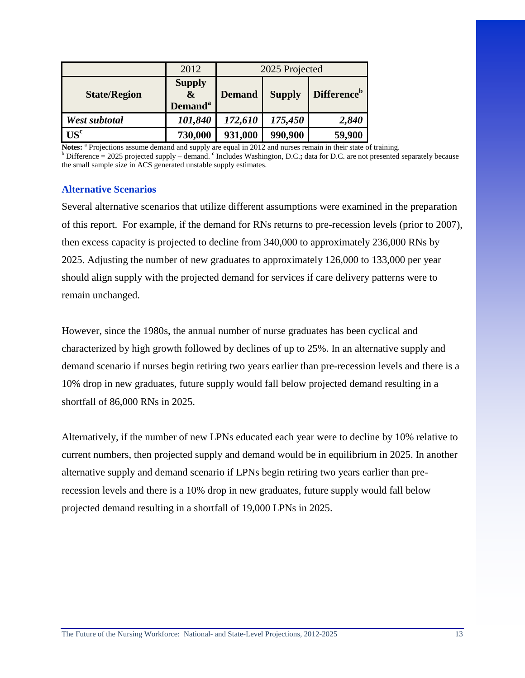|                     | 2012                                                         | 2025 Projected |               |                                |
|---------------------|--------------------------------------------------------------|----------------|---------------|--------------------------------|
| <b>State/Region</b> | <b>Supply</b><br>$\mathbf{\&}$<br><b>Demand</b> <sup>a</sup> | <b>Demand</b>  | <b>Supply</b> | <b>Difference</b> <sup>b</sup> |
| West subtotal       | 101,840                                                      | 172,610        | 175,450       | 2,840                          |
| $\mathbf{US^c}$     | 730,000                                                      | 931,000        | 990,900       | 59,900                         |

Notes: <sup>a</sup> Projections assume demand and supply are equal in 2012 and nurses remain in their state of training.<br><sup>b</sup> Difference = 2025 projected supply – demand. <sup>c</sup> Includes Washington, D.C.; data for D.C. are not presente the small sample size in ACS generated unstable supply estimates.

### **Alternative Scenarios**

Several alternative scenarios that utilize different assumptions were examined in the preparation of this report. For example, if the demand for RNs returns to pre-recession levels (prior to 2007), then excess capacity is projected to decline from 340,000 to approximately 236,000 RNs by 2025. Adjusting the number of new graduates to approximately 126,000 to 133,000 per year should align supply with the projected demand for services if care delivery patterns were to remain unchanged.

However, since the 1980s, the annual number of nurse graduates has been cyclical and characterized by high growth followed by declines of up to 25%. In an alternative supply and demand scenario if nurses begin retiring two years earlier than pre-recession levels and there is a 10% drop in new graduates, future supply would fall below projected demand resulting in a shortfall of 86,000 RNs in 2025.

Alternatively, if the number of new LPNs educated each year were to decline by 10% relative to current numbers, then projected supply and demand would be in equilibrium in 2025. In another alternative supply and demand scenario if LPNs begin retiring two years earlier than prerecession levels and there is a 10% drop in new graduates, future supply would fall below projected demand resulting in a shortfall of 19,000 LPNs in 2025.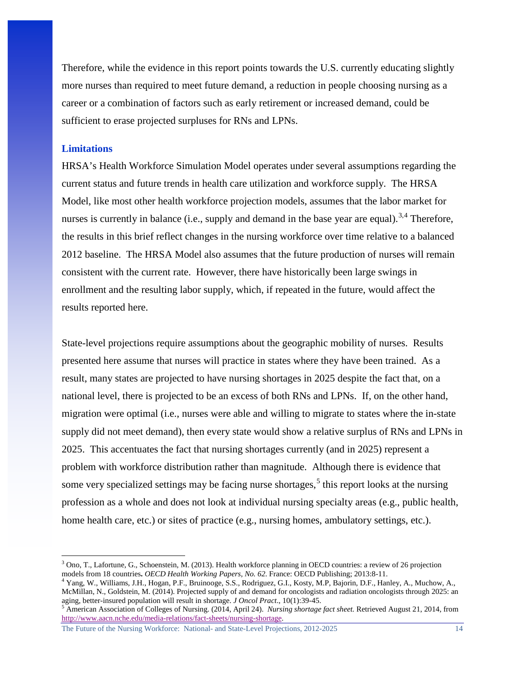Therefore, while the evidence in this report points towards the U.S. currently educating slightly more nurses than required to meet future demand, a reduction in people choosing nursing as a career or a combination of factors such as early retirement or increased demand, could be sufficient to erase projected surpluses for RNs and LPNs.

### **Limitations**

l

HRSA's Health Workforce Simulation Model operates under several assumptions regarding the current status and future trends in health care utilization and workforce supply. The HRSA Model, like most other health workforce projection models, assumes that the labor market for nurses is currently in balance (i.e., supply and demand in the base year are equal).<sup>[3](#page-14-0),[4](#page-14-1)</sup> Therefore, the results in this brief reflect changes in the nursing workforce over time relative to a balanced 2012 baseline. The HRSA Model also assumes that the future production of nurses will remain consistent with the current rate. However, there have historically been large swings in enrollment and the resulting labor supply, which, if repeated in the future, would affect the results reported here.

State-level projections require assumptions about the geographic mobility of nurses. Results presented here assume that nurses will practice in states where they have been trained. As a result, many states are projected to have nursing shortages in 2025 despite the fact that, on a national level, there is projected to be an excess of both RNs and LPNs. If, on the other hand, migration were optimal (i.e., nurses were able and willing to migrate to states where the in-state supply did not meet demand), then every state would show a relative surplus of RNs and LPNs in 2025. This accentuates the fact that nursing shortages currently (and in 2025) represent a problem with workforce distribution rather than magnitude. Although there is evidence that some very specialized settings may be facing nurse shortages,<sup>[5](#page-14-2)</sup> this report looks at the nursing profession as a whole and does not look at individual nursing specialty areas (e.g., public health, home health care, etc.) or sites of practice (e.g., nursing homes, ambulatory settings, etc.).

<span id="page-14-0"></span> $3$  Ono, T., Lafortune, G., Schoenstein, M. (2013). Health workforce planning in OECD countries: a review of 26 projection models from 18 countries. OECD Health Working Papers, No. 62. France: OECD Publishing; 2013:8-11.<br><sup>4</sup> Yang, W., Williams, J.H., Hogan, P.F., Bruinooge, S.S., Rodriguez, G.I., Kosty, M.P, Bajorin, D.F., Hanley, A., Muchow,

<span id="page-14-1"></span>McMillan, N., Goldstein, M. (2014). Projected supply of and demand for oncologists and radiation oncologists through 2025: an aging, better-insured population will result in shortage. *J Oncol Pract.*, 10(1):39-45.

<span id="page-14-2"></span><sup>&</sup>lt;sup>5</sup> American Association of Colleges of Nursing. (2014, April 24). Nursing shortage fact sheet. Retrieved August 21, 2014, from [http://www.aacn.nche.edu/media-relations/fact-sheets/nursing-shortage.](http://www.aacn.nche.edu/media-relations/fact-sheets/nursing-shortage) 

The Future of the Nursing Workforce: National- and State-Level Projections, 2012-2025 14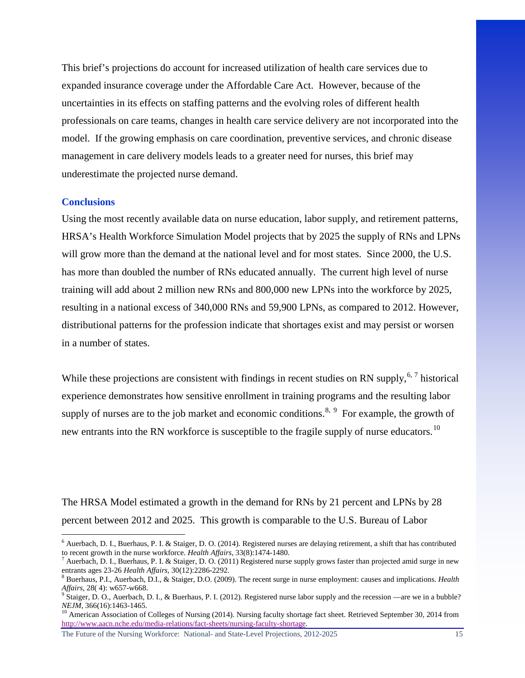This brief's projections do account for increased utilization of health care services due to expanded insurance coverage under the Affordable Care Act. However, because of the uncertainties in its effects on staffing patterns and the evolving roles of different health professionals on care teams, changes in health care service delivery are not incorporated into the model. If the growing emphasis on care coordination, preventive services, and chronic disease management in care delivery models leads to a greater need for nurses, this brief may underestimate the projected nurse demand.

#### **Conclusions**

 $\overline{\phantom{a}}$ 

Using the most recently available data on nurse education, labor supply, and retirement patterns, HRSA's Health Workforce Simulation Model projects that by 2025 the supply of RNs and LPNs will grow more than the demand at the national level and for most states. Since 2000, the U.S. has more than doubled the number of RNs educated annually. The current high level of nurse training will add about 2 million new RNs and 800,000 new LPNs into the workforce by 2025, resulting in a national excess of 340,000 RNs and 59,900 LPNs, as compared to 2012. However, distributional patterns for the profession indicate that shortages exist and may persist or worsen in a number of states.

While these projections are consistent with findings in recent studies on RN supply, $6, 7$  $6, 7$  $6, 7$  historical experience demonstrates how sensitive enrollment in training programs and the resulting labor supply of nurses are to the job market and economic conditions.<sup>[8](#page-15-2), [9](#page-15-3)</sup> For example, the growth of new entrants into the RN workforce is susceptible to the fragile supply of nurse educators.<sup>[10](#page-15-4)</sup>

The HRSA Model estimated a growth in the demand for RNs by 21 percent and LPNs by 28 percent between 2012 and 2025. This growth is comparable to the U.S. Bureau of Labor

<span id="page-15-0"></span><sup>&</sup>lt;sup>6</sup> Auerbach, D. I., Buerhaus, P. I. & Staiger, D. O. (2014). Registered nurses are delaying retirement, a shift that has contributed to recent growth in the nurse workforce. *Health Affairs*, 33(8):1474-1480.

<span id="page-15-1"></span>Auerbach, D. I., Buerhaus, P. I. & Staiger, D. O. (2011) Registered nurse supply grows faster than projected amid surge in new entrants ages 23-26 *Health Affairs*, 30(12):2286-2292. 8

<span id="page-15-2"></span>Buerhaus, P.I., Auerbach, D.I., & Staiger, D.O. (2009). The recent surge in nurse employment: causes and implications. *Health* 

<span id="page-15-3"></span>Staiger, D. O., Auerbach, D. I., & Buerhaus, P. I. (2012). Registered nurse labor supply and the recession —are we in a bubble? *NEJM*, 366(16):1463-1465.<br><sup>10</sup> American Association of Colleges of Nursing (2014). Nursing faculty shortage fact sheet. Retrieved September 30, 2014 from

<span id="page-15-4"></span>[http://www.aacn.nche.edu/media-relations/fact-sheets/nursing-faculty-shortage.](http://www.aacn.nche.edu/media-relations/fact-sheets/nursing-faculty-shortage)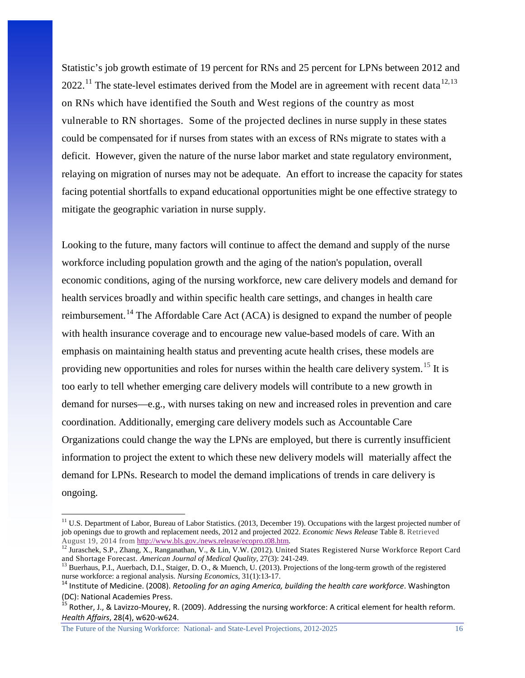Statistic's job growth estimate of 19 percent for RNs and 25 percent for LPNs between 2012 and 2022.<sup>[11](#page-16-0)</sup> The state-level estimates derived from the Model are in agreement with recent data<sup>[12,](#page-16-1)[13](#page-16-2)</sup> on RNs which have identified the South and West regions of the country as most vulnerable to RN shortages. Some of the projected declines in nurse supply in these states could be compensated for if nurses from states with an excess of RNs migrate to states with a deficit. However, given the nature of the nurse labor market and state regulatory environment, relaying on migration of nurses may not be adequate. An effort to increase the capacity for states facing potential shortfalls to expand educational opportunities might be one effective strategy to mitigate the geographic variation in nurse supply.

Looking to the future, many factors will continue to affect the demand and supply of the nurse workforce including population growth and the aging of the nation's population, overall economic conditions, aging of the nursing workforce, new care delivery models and demand for health services broadly and within specific health care settings, and changes in health care reimbursement.<sup>14</sup> The Affordable Care Act (ACA) is designed to expand the number of people with health insurance coverage and to encourage new value-based models of care. With an emphasis on maintaining health status and preventing acute health crises, these models are providing new opportunities and roles for nurses within the health care delivery system.<sup>[15](#page-16-4)</sup> It is too early to tell whether emerging care delivery models will contribute to a new growth in demand for nurses—e.g., with nurses taking on new and increased roles in prevention and care coordination. Additionally, emerging care delivery models such as Accountable Care Organizations could change the way the LPNs are employed, but there is currently insufficient information to project the extent to which these new delivery models will materially affect the demand for LPNs. Research to model the demand implications of trends in care delivery is ongoing.

The Future of the Nursing Workforce: National- and State-Level Projections, 2012-2025 16

 $\overline{\phantom{a}}$ 

<span id="page-16-0"></span><sup>&</sup>lt;sup>11</sup> U.S. Department of Labor, Bureau of Labor Statistics. (2013, December 19). Occupations with the largest projected number of job openings due to growth and replacement needs, 2012 and projected 2022. *Economic News Release* Table 8. Retrieved

<span id="page-16-1"></span>August 19, 2014 from http://www.bls.gov./news.release/ecopro.t08.htm.<br><sup>12</sup> Juraschek, S.P., Zhang, X., Ranganathan, V., & Lin, V.W. (2012). United States Registered Nurse Workforce Report Card<br>and Shortage Forecast. *Ameri* 

<span id="page-16-2"></span><sup>&</sup>lt;sup>13</sup> Buerhaus, P.I., Auerbach, D.I., Staiger, D. O., & Muench, U. (2013). Projections of the long-term growth of the registered nurse workforce: a regional analysis. *Nursing Economics*, 31(1):13-17.<br><sup>14</sup> Institute of Medicine. (2008). *Retooling for an aging America, building the health care workforce*. Washington

<span id="page-16-3"></span><sup>(</sup>DC): National Academies Press.

<span id="page-16-4"></span><sup>15</sup> Rother, J., & Lavizzo-Mourey, R. (2009). Addressing the nursing workforce: A critical element for health reform. *Health Affairs*, 28(4), w620-w624.